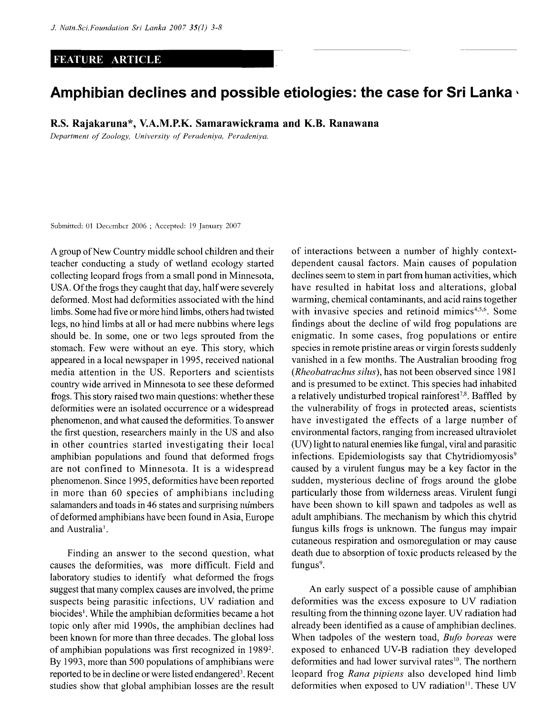## **FEATURE ARTICLE**

## **Amphibian declines and possible etiologies: the case for Sri Lanka \***

**R.S. Rajakamna\*, V.A.M.P.K. Samarawickrama and K.B. Ranawana** 

*Department of Zoology, University of Peradeniya, Peradeniya.* 

Submitted: 01 December 2006 ; Accepted: 19 January 2007

A group of New Country middle school children and their teacher conducting a study of wetland ecology started collecting leopard frogs from a small pond in Minnesota, USA. Of the frogs they caught that day, half were severely deformed. Most had deformities associated with the hind limbs. Some had five or more hind limbs, others had twisted legs, no hind limbs at all or had mere nubbins where legs should be. In some, one or two legs sprouted from the stomach. Few were without an eye. This story, which appeared in a local newspaper in 1995, received national media attention in the US. Reporters and scientists country wide arrived in Minnesota to see these deformed frogs. This story raised two main questions: whether these deformities were an isolated occurrence or a widespread phenomenon, and what caused the deformities. To answer the first question, researchers mainly in the US and also in other countries started investigating their local amphibian populations and found that deformed frogs are not confined to Minnesota. It is a widespread phenomenon. Since 1995, deformities have been reported in more than 60 species of amphibians including salamanders and toads in 46 states and surprising numbers of deformed amphibians have been found in Asia, Europe and Australia<sup>1</sup>.

Finding an answer to the second question, what causes the deformities, was more difficult. Field and laboratory studies to identify what deformed the frogs suggest that many complex causes are involved, the prime suspects being parasitic infections, UV radiation and biocides<sup>1</sup>. While the amphibian deformities became a hot topic only after mid 1990s, the amphibian declines had been known for more than three decades. The global loss of amphibian populations was first recognized in 1989<sup>2</sup>. By 1993, more than 500 populations of amphibians were reported to be in decline or were listed endangered<sup>3</sup>. Recent studies show that global amphibian losses are the result

of interactions between a number of highly contextdependent causal factors. Main causes of population declines seem to stem in part from human activities, which have resulted in habitat loss and alterations, global warming, chemical contaminants, and acid rains together with invasive species and retinoid mimics<sup>4,5,6</sup>. Some findings about the decline of wild frog populations are enigmatic. In some cases, frog populations or entire species in remote pristine areas or virgin forests suddenly vanished in a few months. The Australian brooding frog *(Rheobatrachus silus),* has not been observed since 1981 and is presumed to be extinct. This species had inhabited a relatively undisturbed tropical rainforest<sup>7,8</sup>. Baffled by the vulnerability of frogs in protected areas, scientists have investigated the effects of a large number of environmental factors, ranging from increased ultraviolet (UV) light to natural enemies like fungal, viral and parasitic infections. Epidemiologists say that Chytridiomyosis<sup>9</sup> caused by a virulent fungus may be a key factor in the sudden, mysterious decline of frogs around the globe particularly those from wilderness areas. Virulent fungi have been shown to kill spawn and tadpoles as well as adult amphibians. The mechanism by which this chytrid fungus kills frogs is unknown. The fungus may impair cutaneous respiration and osmoregulation or may cause death due to absorption of toxic products released by the fungus<sup>9</sup>.

An early suspect of a possible cause of amphibian deformities was the excess exposure to UV radiation resulting from the thinning ozone layer. UV radiation had already been identified as a cause of amphibian declines. When tadpoles of the western toad, *Bufo boreas* were exposed to enhanced UV-B radiation they developed deformities and had lower survival rates<sup>10</sup>. The northern leopard frog *Rana pipiens* also developed hind limb deformities when exposed to UV radiation<sup>11</sup>. These UV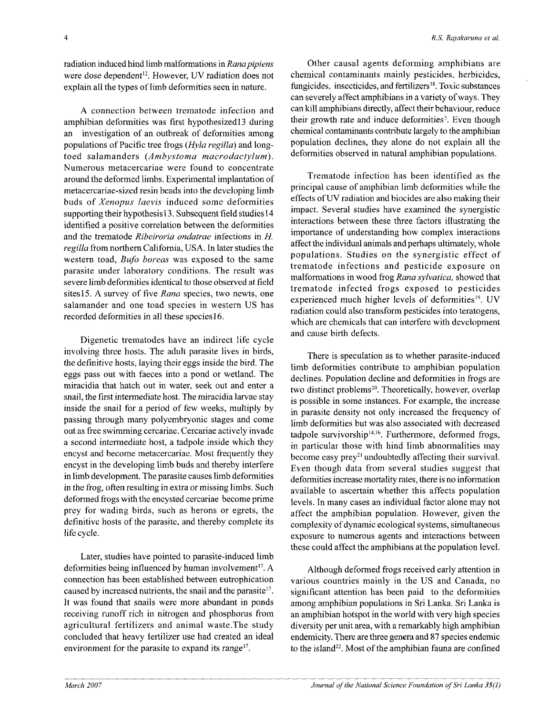radiation induced hind limb malformations in *Rana pipiens*  were dose dependent'<sup>2</sup> . However, UV radiation does not explain all the types of limb deformities seen in nature.

A connection between trematode infection and amphibian deformities was first hypothesizedl3 during an investigation of an outbreak of deformities among populations of Pacific tree frogs *(Hyla regilla)* and longtoed salamanders *(Ambystoma macrodactylum).*  Numerous metacercariae were found to concentrate around the deformed limbs. Experimental implantation of metacercariae-sized resin beads into the developing limb buds of *Xenopus laevis* induced some deformities supporting their hypothesis 13. Subsequent field studies 14 identified a positive correlation between the deformities and the trematode *Ribeiroria ondatrae* infections in *H. regilla* from northern California, USA. In later studies the western toad, *Bufo boreas* was exposed to the same parasite under laboratory conditions. The result was severe limb deformities identical to those observed at field sites 15. A survey of five *Rana* species, two newts, one salamander and one toad species in western US has recorded deformities in all these species 16.

Digenetic trematodes have an indirect life cycle involving three hosts. The adult parasite lives in birds, the definitive hosts, laying their eggs inside the bird. The eggs pass out with faeces into a pond or wetland. The miracidia that hatch out in water, seek out and enter a snail, the first intermediate host. The miracidia larvae stay inside the snail for a period of few weeks, multiply by passing through many polyembryonic stages and come out as free swimming cercariae. Cercariae actively invade a second intermediate host, a tadpole inside which they encyst and become metacercariae. Most frequently they encyst in the developing limb buds and thereby interfere in limb development. The parasite causes limb deformities in the frog, often resulting in extra or missing limbs. Such deformed frogs with the encysted cercariae become prime prey for wading birds, such as herons or egrets, the definitive hosts of the parasite, and thereby complete its life cycle.

Later, studies have pointed to parasite-induced limb deformities being influenced by human involvement<sup>17</sup>. A connection has been established between eutrophication caused by increased nutrients, the snail and the parasite<sup>17</sup>. It was found that snails were more abundant in ponds receiving runoff rich in nitrogen and phosphorus from agricultural fertilizers and animal waste.The study concluded that heavy fertilizer use had created an ideal environment for the parasite to expand its range $17$ .

Other causal agents deforming amphibians are chemical contaminants mainly pesticides, herbicides, fungicides, insecticides, and fertilizers<sup>18</sup>. Toxic substances can severely affect amphibians in a variety of ways. They can kill amphibians directly, affect their behaviour, reduce their growth rate and induce deformities<sup>3</sup>. Even though chemical contaminants contribute largely to the amphibian population declines, they alone do not explain all the deformities observed in natural amphibian populations.

Trematode infection has been identified as the principal cause of amphibian limb deformities while the effects of UV radiation and biocides are also making their impact. Several studies have examined the synergistic interactions between these three factors illustrating the importance of understanding how complex interactions affect the individual animals and perhaps ultimately, whole populations. Studies on the synergistic effect of trematode infections and pesticide exposure on malformations in wood frog *Rana sylvatica,* showed that trematode infected frogs exposed to pesticides experienced much higher levels of deformities<sup>19</sup>. UV radiation could also transform pesticides into teratogens, which are chemicals that can interfere with development and cause birth defects.

There is speculation as to whether parasite-induced limb deformities contribute to amphibian population declines. Population decline and deformities in frogs are two distinct problems<sup>20</sup>. Theoretically, however, overlap is possible in some instances. For example, the increase in parasite density not only increased the frequency of limb deformities but was also associated with decreased tadpole survivorship<sup>14,16</sup>. Furthermore, deformed frogs, in particular those with hind limb abnormalities may become easy prey<sup>21</sup> undoubtedly affecting their survival. Even though data from several studies suggest that deformities increase mortality rates, there is no information available to ascertain whether this affects population levels. In many cases an individual factor alone may not affect the amphibian population. However, given the complexity of dynamic ecological systems, simultaneous exposure to numerous agents and interactions between these could affect the amphibians at the population level.

Although deformed frogs received early attention in various countries mainly in the US and Canada, no significant attention has been paid to the deformities among amphibian populations in Sri Lanka. Sri Lanka is an amphibian hotspot in the world with very high species diversity per unit area, with a remarkably high amphibian endemicity. There are three genera and 87 species endemic to the island<sup>22</sup>. Most of the amphibian fauna are confined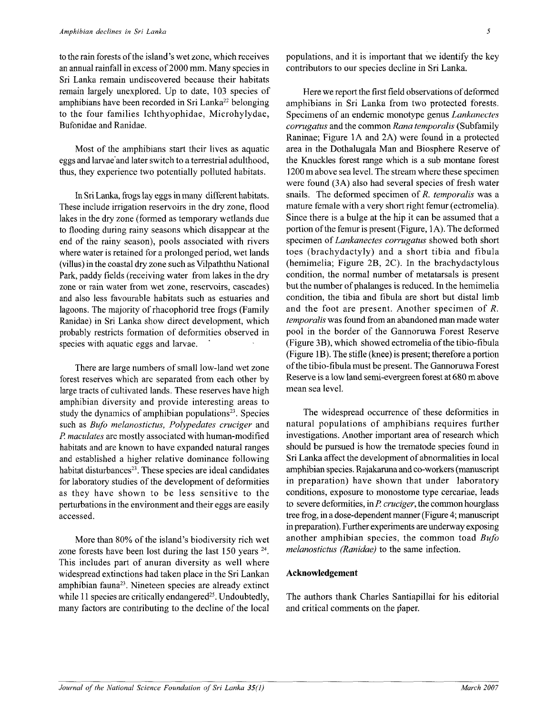to the rain forests of the island's wet zone, which receives an annual rainfall in excess of 2000 mm. Many species in Sri Lanka remain undiscovered because their habitats remain largely unexplored. Up to date, 103 species of amphibians have been recorded in Sri Lanka<sup>22</sup> belonging to the four families Ichthyophidae, Microhylydae, Bufonidae and Ranidae.

Most of the amphibians start their lives as aquatic eggs and larvae'and later switch to a terrestrial adulthood, thus, they experience two potentially polluted habitats.

In Sri Lanka, frogs lay eggs in many different habitats. These include irrigation reservoirs in the dry zone, flood lakes in the dry zone (formed as temporary wetlands due to flooding during rainy seasons which disappear at the end of the rainy season), pools associated with rivers where water is retained for a prolonged period, wet lands (villus) in the coastal dry zone such as Vilpaththu National Park, paddy fields (receiving water from lakes in the dry zone or rain water from wet zone, reservoirs, cascades) and also less favourable habitats such as estuaries and lagoons. The majority of rhacophorid tree frogs (Family Ranidae) in Sri Lanka show direct development, which probably restricts formation of deformities observed in species with aquatic eggs and larvae.

There are large numbers of small low-land wet zone forest reserves which are separated from each other by large tracts of cultivated lands. These reserves have high amphibian diversity and provide interesting areas to study the dynamics of amphibian populations $23$ . Species such as *Bufo melanostictus, Polypedates cruciger* and *P. maculates* are mostly associated with human-modified habitats and are known to have expanded natural ranges and established a higher relative dominance following habitat disturbances<sup>23</sup>. These species are ideal candidates for laboratory studies of the development of deformities as they have shown to be less sensitive to the perturbations in the environment and their eggs are easily accessed.

More than 80% of the island's biodiversity rich wet zone forests have been lost during the last  $150$  years  $24$ . This includes part of anuran diversity as well where widespread extinctions had taken place in the Sri Lankan amphibian fauna<sup>23</sup>. Nineteen species are already extinct while 11 species are critically endangered<sup>25</sup>. Undoubtedly, many factors are contributing to the decline of the local

populations, and it is important that we identify the key contributors to our species decline in Sri Lanka.

Here we report the first field observations of deformed amphibians in Sri Lanka from two protected forests. Specimens of an endemic monotype genus *Lankanectes corrugatus* and the common *Rana temporalis* (Subfamily Raninae; Figure 1A and 2A) were found in a protected area in the Dothalugala Man and Biosphere Reserve of the Knuckles forest range which is a sub montane forest 1200 m above sea level. The stream where these specimen were found (3A) also had several species of fresh water snails. The deformed specimen of *R. temporalis* was a mature female with a very short right femur (ectromelia). Since there is a bulge at the hip it can be assumed that a portion of the femur is present (Figure, 1A). The deformed specimen of *Lankanectes corrugatus* showed both short toes (brachydactyly) and a short tibia and fibula (hemimelia; Figure 2B, 2C). In the brachydactylous condition, the normal number of metatarsals is present but the number of phalanges is reduced. In the hemimelia condition, the tibia and fibula are short but distal limb and the foot are present. Another specimen of *R, temporalis* was found from an abandoned man made water pool in the border of the Gannoruwa Forest Reserve (Figure 3B), which showed ectromelia of the tibio-fibula (Figure 1B). The stifle (knee) is present; therefore a portion of the tibio-fibula must be present. The Gannoruwa Forest Reserve is a low land semi-evergreen forest at 680 m above mean sea level.

The widespread occurrence of these deformities in natural populations of amphibians requires further investigations. Another important area of research which should be pursued is how the trematode species found in Sri Lanka affect the development of abnormalities in local amphibian species. Rajakaruna and co-workers (manuscript in preparation) have shown that under laboratory conditions, exposure to monostome type cercariae, leads to severe deformities, *inP cruciger,* the common hourglass tree frog, in a dose-dependent manner (Figure 4; manuscript in preparation). Further experiments are underway exposing another amphibian species, the common toad *Bufo melanostictus (Ranidae)* to the same infection.

## **Acknowledgement**

The authors thank Charles Santiapillai for his editorial and critical comments on the paper.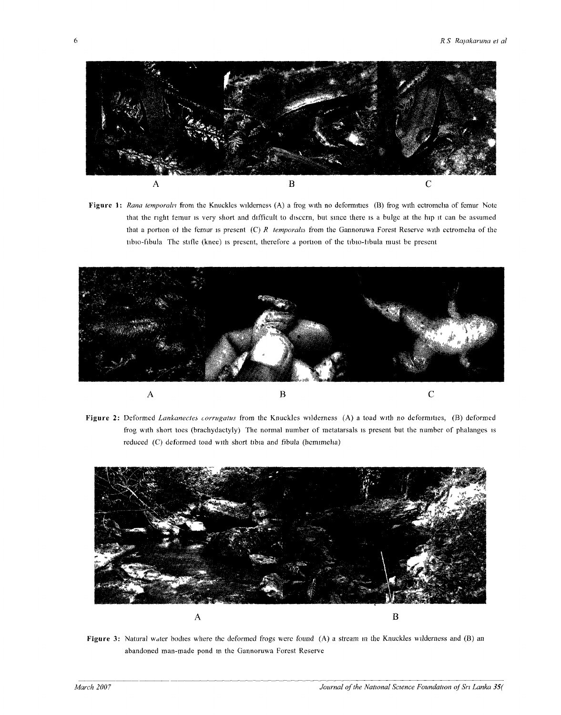

**Figure 1**: *Rana temporalis* from the Knuckles wilderness (A) a frog with no deformities (B) frog with ectromelia of femur Note that the right temur is very short and difficult to discern, but since there is a bulge at the hip it can be assumed that a portion ot the femur is present (C) *R temporalis* from the Gannoruwa Forest Reserve with ectromelia of the tibio-fibula The stifle (knee) is present, therefore a portion of the tibio-tibula must be present



**Figure 2:** Deformed *Lankanectes corrugatus* from the Knuckles wilderness (A) a toad with no deformities, (B) deformed frog with short toes (brachydactyly) The normal number of metatarsals is present but the number of phalanges is reduced (C) deformed toad with short tibia and fibula (hemimelia)



**Figure 3:** Natural water bodies where the deformed frogs were found (A) a stream in the Knuckles wilderness and (B) an abandoned man-made pond in the Gannoruwa Forest Reserve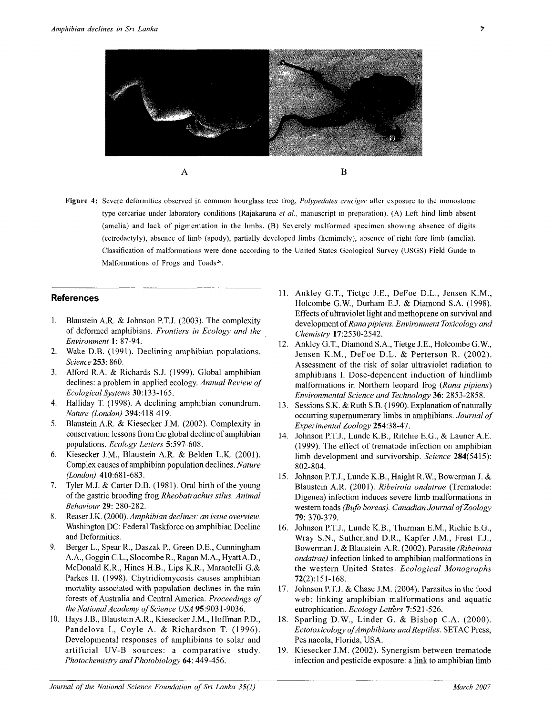

Figure 4: Severe deformities observed in common hourglass tree frog, *Polypedates cruciger* after exposure to the monostome type cercariae under laboratory conditions (Rajakaruna *et al,* manuscript in preparation). (A) Left hind limb absent (amelia) and lack of pigmentation in the limbs. (B) Severely malformed specimen showing absence of digits (ectrodactyly), absence of limb (apody), partially developed limbs (hemimcly), absence of right fore limb (amelia). Classification of malformations were done according to the United States Geological Survey (USGS) Field Guide to Malformations of Frogs and Toads<sup>26</sup>.

## References

- 1. Blaustein A.R. & Johnson P.T.J. (2003). The complexity of deformed amphibians. *Frontiers in Ecology and the Environment* 1: 87-94.
- 2. Wake D.B. (1991). Declining amphibian populations. *Science* 253: 860.
- 3. Alford R.A. & Richards S.J. (1999). Global amphibian declines: a problem in applied ecology. *Annual Review of Ecological Systems* 30:133-165.
- 4. Halliday T. (1998). A declining amphibian conundrum. *Nature (London)* 394:418-419.
- 5. Blaustein A.R. & Kiesecker J.M. (2002). Complexity in conservation: lessons from the global decline of amphibian populations. *Ecology Letters* 5:597-608.
- 6. Kiesecker J.M., Blaustein A.R. & Belden L.K. (2001). Complex causes of amphibian population declines. *Nature (London)* 410:681-683.
- 7. Tyler M.J. & Carter D.B. (1981). Oral birth of the young of the gastric brooding frog *Rheobatrachus silus. Animal Behaviour* 29: 280-282.
- 8. Reaser J.K. (2000). *Amphibian declines: an issue overview.*  Washington DC: Federal Taskforce on amphibian Decline and Deformities.
- 9. Berger L., Spear R., Daszak P., Green D.E., Cunningham A.A., Goggin C.L., Slocombe R., Ragan M.A., Hyatt A.D., McDonald K.R., Hines H.B., Lips K.R., Marantelli G.& Parkes H. (1998). Chytridiomycosis causes amphibian mortality associated with population declines in the rain forests of Australia and Central America. *Proceedings of the National Academy of Science USA* 95:9031-9036.
- 10. Hays J.B., Blaustein A.R., Kiesecker J.M., Hoffman P.D., Pandelova I., Coyle A. & Richardson T. (1996). Developmental responses of amphibians to solar and artificial UV-B sources: a comparative study. *Photochemistry andPhotobiology* 64: 449-456.
- 11. Ankley G.T., Tietge J.E., DeFoe D.L., Jensen K.M., Holcombe G.W., Durham E.J. & Diamond S.A. (1998). Effects of ultraviolet light and methoprene on survival and development of *Rana pipiens. Environment Toxicology and Chemistry* 17:2530-2542.
- 12. Ankley G.T., Diamond S.A., Tietge J.E., Holcombe G.W., Jensen K.M., DeFoe D.L. & Perterson R. (2002). Assessment of the risk of solar ultraviolet radiation to amphibians I. Dose-dependent induction of hindlimb malformations in Northern leopard frog *(Rana pipiens) Environmental Science and Technology* 36: 2853-2858.
- 13. Sessions S.K. & Ruth S.B. (1990). Explanation of naturally occurring supernumerary limbs in amphibians. *Journal of Experimental Zoology* 254:38-47.
- 14. Johnson P.T.J., Lunde K.B., Ritchie E.G., & Launer A.E. (1999). The effect of trematode infection on amphibian limb development and survivorship. *Science* 284(5415): 802-804.
- 15. Johnson P.T.J., Lunde K.B., Haight R.W., Bowerman J. & Blaustein A.R. (2001). *Ribeiroia ondatrae* (Trematode: Digenea) infection induces severe limb malformations in western toads *(Bufo boreas). Canadian Journal of Zoology*  79: 370-379.
- 16. Johnson P.T.J., Lunde K.B., Thurman E.M., Richie E.G., Wray S.N., Sutherland D.R., Kapfer J.M., Frest T.J., Bowerman J. & Blaustein A.R. (2002). Parasite *(Ribeiroia ondatrae)* infection linked to amphibian malformations in the western United States. *Ecological Monographs*  72(2):151-168.
- 17. Johnson P.T.J. & Chase J.M. (2004). Parasites in the food web: linking amphibian malformations and aquatic eutrophication. *Ecology Letters* 7:521-526.
- 18. Sparling D.W., Linder G. & Bishop C.A. (2000). *Ectotoxicology of Amphibians and Reptiles.* SETAC Press, Pes nacola, Florida, USA.
- 19. Kiesecker J.M. (2002). Synergism between trematode infection and pesticide exposure: a link to amphibian limb